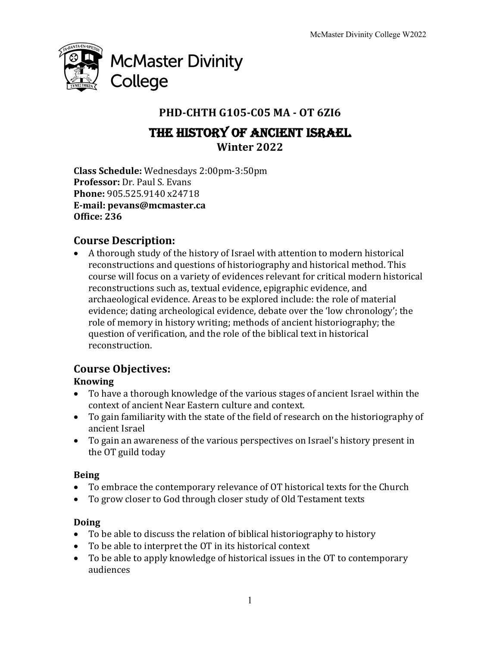

# **PHD-CHTH G105-C05 MA - OT 6ZI6**

# THE HISTORY OF ANCIENT ISRAEL **Winter 2022**

**Class Schedule:** Wednesdays 2:00pm-3:50pm **Professor:** Dr. Paul S. Evans **Phone:** 905.525.9140 x24718 **E-mail: pevans@mcmaster.ca Office: 236**

# **Course Description:**

• A thorough study of the history of Israel with attention to modern historical reconstructions and questions of historiography and historical method. This course will focus on a variety of evidences relevant for critical modern historical reconstructions such as, textual evidence, epigraphic evidence, and archaeological evidence. Areas to be explored include: the role of material evidence; dating archeological evidence, debate over the 'low chronology'; the role of memory in history writing; methods of ancient historiography; the question of verification, and the role of the biblical text in historical reconstruction. 

# **Course Objectives:**

# **Knowing**

- To have a thorough knowledge of the various stages of ancient Israel within the context of ancient Near Eastern culture and context.
- To gain familiarity with the state of the field of research on the historiography of ancient Israel
- To gain an awareness of the various perspectives on Israel's history present in the OT guild today

# **Being**

- To embrace the contemporary relevance of OT historical texts for the Church
- To grow closer to God through closer study of Old Testament texts

# **Doing**

- To be able to discuss the relation of biblical historiography to history
- To be able to interpret the OT in its historical context
- To be able to apply knowledge of historical issues in the OT to contemporary audiences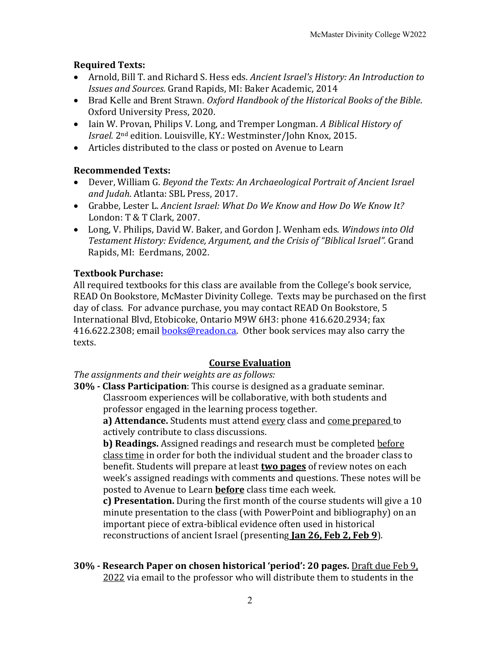## **Required Texts:**

- Arnold, Bill T. and Richard S. Hess eds. *Ancient Israel's History: An Introduction to Issues and Sources.* Grand Rapids, MI: Baker Academic, 2014
- Brad Kelle and Brent Strawn. *Oxford Handbook of the Historical Books of the Bible*. Oxford University Press, 2020.
- Iain W. Provan, Philips V. Long, and Tremper Longman. *A Biblical History of Israel.* 2<sup>nd</sup> edition. Louisville, KY.: Westminster/John Knox, 2015.
- Articles distributed to the class or posted on Avenue to Learn

## **Recommended Texts:**

- Dever, William G. *Beyond the Texts: An Archaeological Portrait of Ancient Israel* and Judah. Atlanta: SBL Press, 2017.
- Grabbe, Lester L. *Ancient Israel: What Do We Know and How Do We Know It?* London: T & T Clark, 2007.
- Long, V. Philips, David W. Baker, and Gordon J. Wenham eds. *Windows into Old* Testament History: Evidence, Argument, and the Crisis of "Biblical Israel". Grand Rapids, MI: Eerdmans, 2002.

## **Textbook Purchase:**

All required textbooks for this class are available from the College's book service, READ On Bookstore, McMaster Divinity College. Texts may be purchased on the first day of class. For advance purchase, you may contact READ On Bookstore, 5 International Blvd, Etobicoke, Ontario M9W 6H3: phone 416.620.2934; fax 416.622.2308; email **books@readon.ca.** Other book services may also carry the texts.

## **Course Evaluation**

The assignments and their weights are as follows:

**30% - Class Participation**: This course is designed as a graduate seminar. Classroom experiences will be collaborative, with both students and professor engaged in the learning process together.

**a) Attendance.** Students must attend every class and come prepared to actively contribute to class discussions.

**b) Readings.** Assigned readings and research must be completed before class time in order for both the individual student and the broader class to benefit. Students will prepare at least **two pages** of review notes on each week's assigned readings with comments and questions. These notes will be posted to Avenue to Learn **before** class time each week.

**c) Presentation.** During the first month of the course students will give a 10 minute presentation to the class (with PowerPoint and bibliography) on an important piece of extra-biblical evidence often used in historical reconstructions of ancient Israel (presenting **Jan 26, Feb 2, Feb 9**).

**30% - Research Paper on chosen historical 'period': 20 pages.** Draft due Feb 9, 2022 via email to the professor who will distribute them to students in the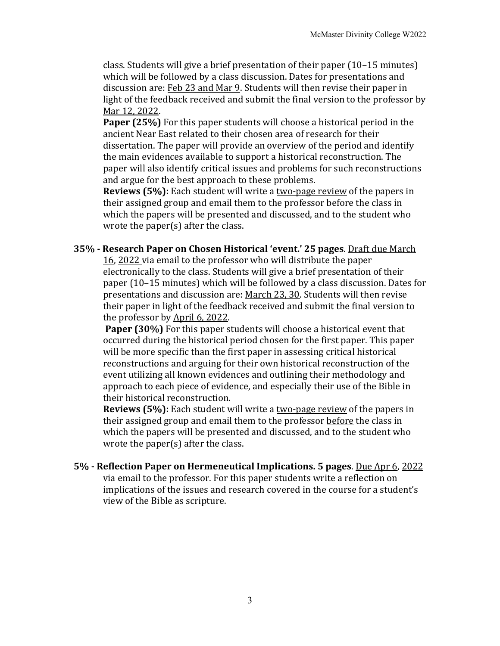class. Students will give a brief presentation of their paper  $(10-15 \text{ minutes})$ which will be followed by a class discussion. Dates for presentations and discussion are: Feb 23 and Mar 9. Students will then revise their paper in light of the feedback received and submit the final version to the professor by Mar 12, 2022.

**Paper (25%)** For this paper students will choose a historical period in the ancient Near East related to their chosen area of research for their dissertation. The paper will provide an overview of the period and identify the main evidences available to support a historical reconstruction. The paper will also identify critical issues and problems for such reconstructions and argue for the best approach to these problems.

**Reviews (5%):** Each student will write a two-page review of the papers in their assigned group and email them to the professor before the class in which the papers will be presented and discussed, and to the student who wrote the paper $(s)$  after the class.

#### **35% - Research Paper on Chosen Historical 'event.' 25 pages**. Draft due March

16, 2022 via email to the professor who will distribute the paper electronically to the class. Students will give a brief presentation of their paper (10–15 minutes) which will be followed by a class discussion. Dates for presentations and discussion are: March 23, 30. Students will then revise their paper in light of the feedback received and submit the final version to the professor by April 6, 2022.

**Paper (30%)** For this paper students will choose a historical event that occurred during the historical period chosen for the first paper. This paper will be more specific than the first paper in assessing critical historical reconstructions and arguing for their own historical reconstruction of the event utilizing all known evidences and outlining their methodology and approach to each piece of evidence, and especially their use of the Bible in their historical reconstruction.

**Reviews (5%):** Each student will write a two-page review of the papers in their assigned group and email them to the professor before the class in which the papers will be presented and discussed, and to the student who wrote the paper $(s)$  after the class.

**5%** - Reflection Paper on Hermeneutical Implications. 5 pages. Due Apr 6, 2022 via email to the professor. For this paper students write a reflection on implications of the issues and research covered in the course for a student's view of the Bible as scripture.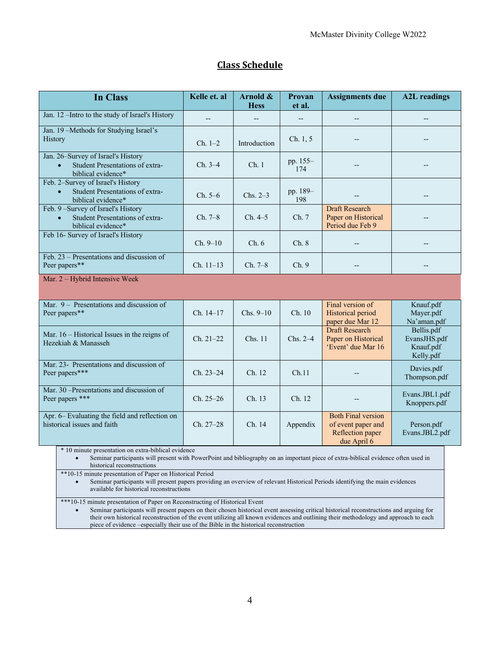| <b>In Class</b>                                                                                          | Kelle et. al | Arnold &<br><b>Hess</b> | Provan<br>et al. | <b>Assignments due</b>                                                             | <b>A2L</b> readings                                  |
|----------------------------------------------------------------------------------------------------------|--------------|-------------------------|------------------|------------------------------------------------------------------------------------|------------------------------------------------------|
| Jan. 12-Intro to the study of Israel's History                                                           |              |                         | $-$              |                                                                                    |                                                      |
| Jan. 19-Methods for Studying Israel's<br>History                                                         | $Ch. 1-2$    | Introduction            | Ch. 1, 5         |                                                                                    |                                                      |
| Jan. 26-Survey of Israel's History<br>Student Presentations of extra-<br>$\bullet$<br>biblical evidence* | $Ch. 3-4$    | Ch.1                    | pp. 155-<br>174  |                                                                                    |                                                      |
| Feb. 2-Survey of Israel's History<br>Student Presentations of extra-<br>$\bullet$<br>biblical evidence*  | $Ch. 5-6$    | $Chs. 2-3$              | pp. 189-<br>198  |                                                                                    |                                                      |
| Feb. 9-Survey of Israel's History<br>Student Presentations of extra-<br>biblical evidence*               | Ch. 7–8      | Ch. 4–5                 | Ch. 7            | <b>Draft Research</b><br>Paper on Historical<br>Period due Feb 9                   |                                                      |
| Feb 16- Survey of Israel's History                                                                       | $Ch. 9-10$   | Ch. 6                   | Ch.8             |                                                                                    |                                                      |
| Feb. 23 – Presentations and discussion of<br>Peer papers**                                               | $Ch. 11-13$  | Ch. 7–8                 | Ch.9             |                                                                                    |                                                      |
| Mar. 2 - Hybrid Intensive Week                                                                           |              |                         |                  |                                                                                    |                                                      |
| Mar. 9 – Presentations and discussion of<br>Peer papers**                                                | Ch. 14-17    | $Chs. 9-10$             | Ch. 10           | Final version of<br>Historical period<br>paper due Mar 12                          | Knauf.pdf<br>Mayer.pdf<br>Na'aman.pdf                |
| Mar. $16$ – Historical Issues in the reigns of<br>Hezekiah & Manasseh                                    | $Ch. 21-22$  | Chs. 11                 | Chs. $2-4$       | Draft Research<br>Paper on Historical<br>'Event' due Mar 16                        | Bellis.pdf<br>EvansJHS.pdf<br>Knauf.pdf<br>Kelly.pdf |
| Mar. 23- Presentations and discussion of<br>Peer papers***                                               | Ch. 23-24    | Ch. 12                  | Ch.11            |                                                                                    | Davies.pdf<br>Thompson.pdf                           |
| Mar. 30 -Presentations and discussion of<br>Peer papers ***                                              | $Ch. 25-26$  | Ch. 13                  | Ch. 12           |                                                                                    | Evans.JBL1.pdf<br>Knoppers.pdf                       |
| Apr. 6– Evaluating the field and reflection on<br>historical issues and faith                            | $Ch. 27-28$  | Ch. 14                  | Appendix         | <b>Both Final version</b><br>of event paper and<br>Reflection paper<br>due April 6 | Person.pdf<br>Evans.JBL2.pdf                         |

### **Class Schedule**

\* 10 minute presentation on extra-biblical evidence

• Seminar participants will present with PowerPoint and bibliography on an important piece of extra-biblical evidence often used in historical reconstructions

\*\*10-15 minute presentation of Paper on Historical Period

• Seminar participants will present papers providing an overview of relevant Historical Periods identifying the main evidences available for historical reconstructions

\*\*\*10-15 minute presentation of Paper on Reconstructing of Historical Event

• Seminar participants will present papers on their chosen historical event assessing critical historical reconstructions and arguing for their own historical reconstruction of the event utilizing all known evidences and outlining their methodology and approach to each piece of evidence –especially their use of the Bible in the historical reconstruction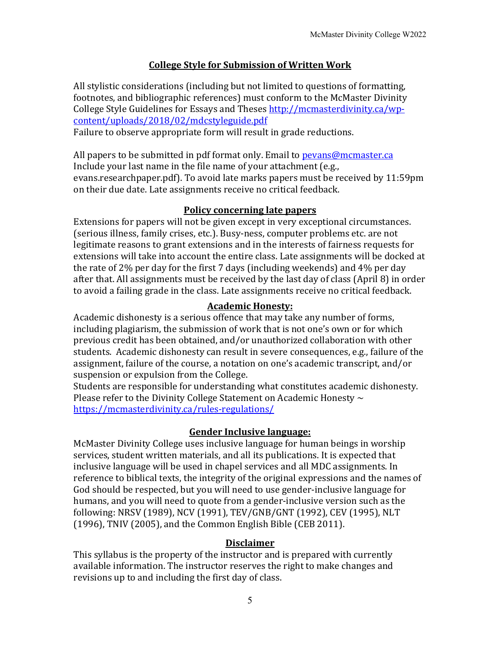#### **College Style for Submission of Written Work**

All stylistic considerations (including but not limited to questions of formatting, footnotes, and bibliographic references) must conform to the McMaster Divinity College Style Guidelines for Essays and Theses http://mcmasterdivinity.ca/wpcontent/uploads/2018/02/mdcstyleguide.pdf

Failure to observe appropriate form will result in grade reductions.

All papers to be submitted in pdf format only. Email to  $pevans@mcmaster.ca$ Include your last name in the file name of your attachment  $(e.g.,)$ evans.researchpaper.pdf). To avoid late marks papers must be received by 11:59pm on their due date. Late assignments receive no critical feedback.

### **Policy concerning late papers**

Extensions for papers will not be given except in very exceptional circumstances. (serious illness, family crises, etc.). Busy-ness, computer problems etc. are not legitimate reasons to grant extensions and in the interests of fairness requests for extensions will take into account the entire class. Late assignments will be docked at the rate of  $2\%$  per day for the first 7 days (including weekends) and  $4\%$  per day after that. All assignments must be received by the last day of class (April 8) in order to avoid a failing grade in the class. Late assignments receive no critical feedback.

### **Academic Honesty:**

Academic dishonesty is a serious offence that may take any number of forms, including plagiarism, the submission of work that is not one's own or for which previous credit has been obtained, and/or unauthorized collaboration with other students. Academic dishonesty can result in severe consequences, e.g., failure of the assignment, failure of the course, a notation on one's academic transcript, and/or suspension or expulsion from the College.

Students are responsible for understanding what constitutes academic dishonesty. Please refer to the Divinity College Statement on Academic Honesty  $\sim$ https://mcmasterdivinity.ca/rules-regulations/

#### **Gender Inclusive language:**

McMaster Divinity College uses inclusive language for human beings in worship services, student written materials, and all its publications. It is expected that inclusive language will be used in chapel services and all MDC assignments. In reference to biblical texts, the integrity of the original expressions and the names of God should be respected, but you will need to use gender-inclusive language for humans, and you will need to quote from a gender-inclusive version such as the following: NRSV (1989), NCV (1991), TEV/GNB/GNT (1992), CEV (1995), NLT (1996), TNIV (2005), and the Common English Bible (CEB 2011).

#### **Disclaimer**

This syllabus is the property of the instructor and is prepared with currently available information. The instructor reserves the right to make changes and revisions up to and including the first day of class.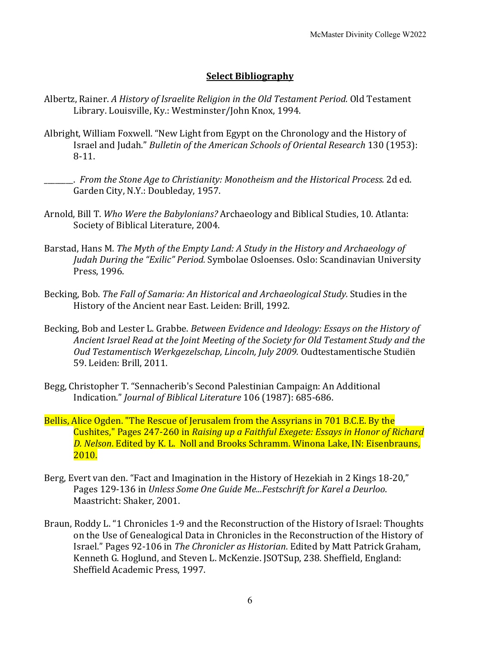#### **Select Bibliography**

- Albertz, Rainer. *A History of Israelite Religion in the Old Testament Period.* Old Testament Library. Louisville, Ky.: Westminster/John Knox, 1994.
- Albright, William Foxwell. "New Light from Egypt on the Chronology and the History of Israel and Judah." *Bulletin of the American Schools of Oriental Research* 130 (1953): 8-11.
	- \_\_\_\_\_\_\_\_. *From the Stone Age to Christianity: Monotheism and the Historical Process.* 2d ed. Garden City, N.Y.: Doubleday, 1957.
- Arnold, Bill T. *Who Were the Babylonians?* Archaeology and Biblical Studies, 10. Atlanta: Society of Biblical Literature, 2004.
- Barstad, Hans M. *The Myth of the Empty Land: A Study in the History and Archaeology of Judah During the "Exilic" Period.* Symbolae Osloenses. Oslo: Scandinavian University Press, 1996.
- Becking, Bob. *The Fall of Samaria: An Historical and Archaeological Study.* Studies in the History of the Ancient near East. Leiden: Brill, 1992.
- Becking, Bob and Lester L. Grabbe. *Between Evidence and Ideology: Essays on the History of* Ancient Israel Read at the Joint Meeting of the Society for Old Testament Study and the Oud Testamentisch Werkgezelschap, Lincoln, July 2009. Oudtestamentische Studiën 59. Leiden: Brill, 2011.
- Begg, Christopher T. "Sennacherib's Second Palestinian Campaign: An Additional Indication." *Journal of Biblical Literature* 106 (1987): 685-686.
- Bellis, Alice Ogden. "The Rescue of Jerusalem from the Assyrians in 701 B.C.E. By the Cushites," Pages 247-260 in *Raising up a Faithful Exegete: Essays in Honor of Richard* D. Nelson. Edited by K. L. Noll and Brooks Schramm. Winona Lake, IN: Eisenbrauns, 2010.
- Berg, Evert van den. "Fact and Imagination in the History of Hezekiah in 2 Kings 18-20," Pages 129-136 in *Unless Some One Guide Me...Festschrift for Karel a Deurloo.* Maastricht: Shaker, 2001.
- Braun, Roddy L. "1 Chronicles 1-9 and the Reconstruction of the History of Israel: Thoughts on the Use of Genealogical Data in Chronicles in the Reconstruction of the History of Israel." Pages 92-106 in *The Chronicler as Historian*. Edited by Matt Patrick Graham, Kenneth G. Hoglund, and Steven L. McKenzie. JSOTSup, 238. Sheffield, England: Sheffield Academic Press, 1997.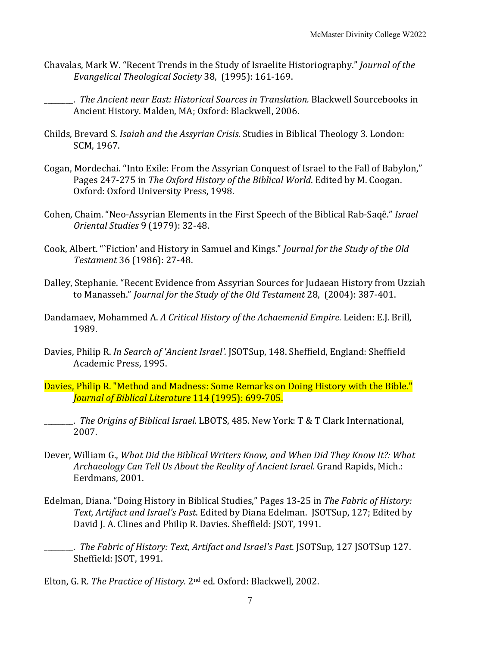Chavalas, Mark W. "Recent Trends in the Study of Israelite Historiography." *Journal of the* Evangelical Theological Society 38, (1995): 161-169.

\_\_\_\_\_\_\_\_. *The Ancient near East: Historical Sources in Translation.* Blackwell Sourcebooks in Ancient History. Malden, MA; Oxford: Blackwell, 2006.

- Childs, Brevard S. *Isaiah and the Assyrian Crisis*. Studies in Biblical Theology 3. London: SCM, 1967.
- Cogan, Mordechai. "Into Exile: From the Assyrian Conquest of Israel to the Fall of Babylon," Pages 247-275 in *The Oxford History of the Biblical World*. Edited by M. Coogan. Oxford: Oxford University Press, 1998.
- Cohen, Chaim. "Neo-Assyrian Elements in the First Speech of the Biblical Rab-Saqê." *Israel Oriental Studies* 9 (1979): 32-48.
- Cook, Albert. "`Fiction' and History in Samuel and Kings." *Journal for the Study of the Old Testament* 36 (1986): 27-48.
- Dalley, Stephanie. "Recent Evidence from Assyrian Sources for Judaean History from Uzziah to Manasseh." *Journal for the Study of the Old Testament* 28, (2004): 387-401.
- Dandamaev, Mohammed A. *A Critical History of the Achaemenid Empire*. Leiden: E.J. Brill, 1989.
- Davies, Philip R. In Search of 'Ancient Israel'. [SOTSup, 148. Sheffield, England: Sheffield Academic Press, 1995.
- Davies, Philip R. "Method and Madness: Some Remarks on Doing History with the Bible." *Journal of Biblical Literature* 114 (1995): 699-705.
- **\_\_\_\_\_\_.** *The Origins of Biblical Israel.* LBOTS, 485. New York: T & T Clark International, 2007.
- Dever, William G., *What Did the Biblical Writers Know, and When Did They Know It?: What* Archaeology Can Tell Us About the Reality of Ancient Israel. Grand Rapids, Mich.: Eerdmans, 2001.
- Edelman, Diana. "Doing History in Biblical Studies," Pages 13-25 in *The Fabric of History:* Text, Artifact and Israel's Past. Edited by Diana Edelman. *ISOTSup*, 127; Edited by David J. A. Clines and Philip R. Davies. Sheffield: JSOT, 1991.
	- \_\_\_\_\_\_\_\_. *The Fabric of History: Text, Artifact and Israel's Past.* JSOTSup, 127 JSOTSup 127. Sheffield: JSOT, 1991.

Elton, G. R. *The Practice of History.* 2<sup>nd</sup> ed. Oxford: Blackwell, 2002.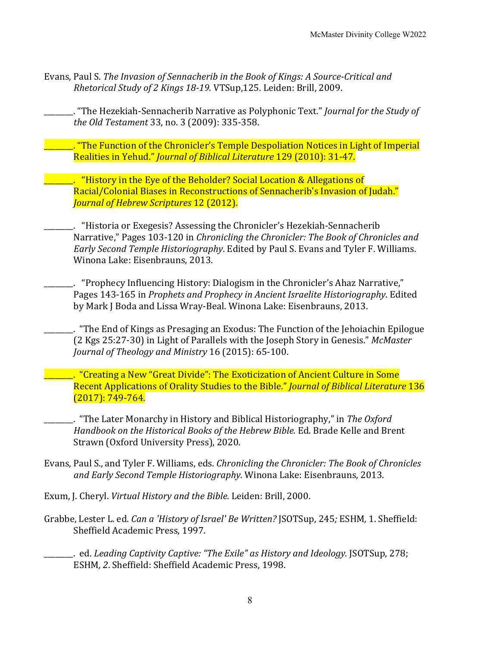Evans, Paul S. *The Invasion of Sennacherib in the Book of Kings: A Source-Critical and Rhetorical Study of 2 Kings 18-19.* VTSup, 125. Leiden: Brill, 2009.

. "The Hezekiah-Sennacherib Narrative as Polyphonic Text." *Journal for the Study of the Old Testament* 33, no. 3 (2009): 335-358.

\_\_\_\_\_\_\_\_. "The Function of the Chronicler's Temple Despoliation Notices in Light of Imperial Realities in Yehud." *Journal of Biblical Literature* 129 (2010): 31-47.

**Example 20** Thistory in the Eye of the Beholder? Social Location & Allegations of Racial/Colonial Biases in Reconstructions of Sennacherib's Invasion of Judah." *Journal of Hebrew Scriptures* 12 (2012).

. "Historia or Exegesis? Assessing the Chronicler's Hezekiah-Sennacherib Narrative," Pages 103-120 in *Chronicling the Chronicler: The Book of Chronicles and Early Second Temple Historiography*. Edited by Paul S. Evans and Tyler F. Williams. Winona Lake: Eisenbrauns, 2013.

. "Prophecy Influencing History: Dialogism in the Chronicler's Ahaz Narrative," Pages 143-165 in *Prophets and Prophecy in Ancient Israelite Historiography*. Edited by Mark J Boda and Lissa Wray-Beal. Winona Lake: Eisenbrauns, 2013.

. "The End of Kings as Presaging an Exodus: The Function of the Jehoiachin Epilogue (2 Kgs 25:27-30) in Light of Parallels with the Joseph Story in Genesis." *McMaster Journal of Theology and Ministry* 16 (2015): 65-100.

. "Creating a New "Great Divide": The Exoticization of Ancient Culture in Some Recent Applications of Orality Studies to the Bible." *Journal of Biblical Literature* 136  $(2017)$ : 749-764.

\_\_\_\_\_\_\_\_. "The Later Monarchy in History and Biblical Historiography," in *The Oxford Handbook on the Historical Books of the Hebrew Bible.* Ed. Brade Kelle and Brent Strawn (Oxford University Press), 2020.

- Evans, Paul S., and Tyler F. Williams, eds. *Chronicling the Chronicler: The Book of Chronicles* and *Early Second Temple Historiography*. Winona Lake: Eisenbrauns, 2013.
- Exum, J. Cheryl. *Virtual History and the Bible.* Leiden: Brill, 2000.
- Grabbe, Lester L. ed. *Can a 'History of Israel' Be Written?* JSOTSup, 245; ESHM, 1. Sheffield: Sheffield Academic Press, 1997.
- **\_\_\_\_\_\_\_.** ed. *Leading Captivity Captive: "The Exile"* as History and Ideology. JSOTSup, 278; ESHM, 2. Sheffield: Sheffield Academic Press, 1998.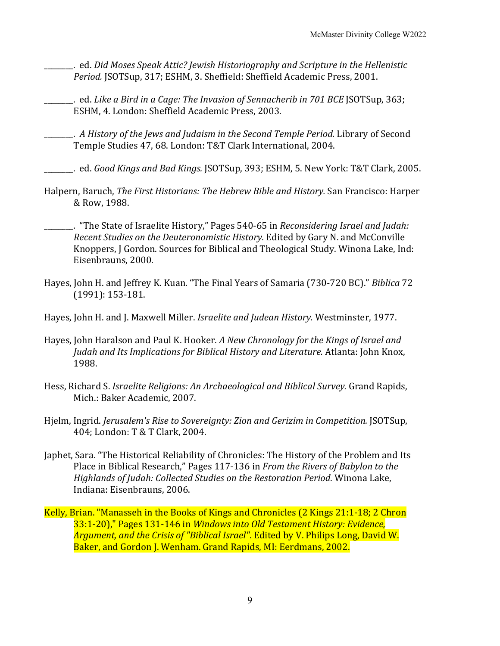- \_\_\_\_\_\_\_\_. ed. *Did Moses Speak Attic? Jewish Historiography and Scripture in the Hellenistic*  Period. *JSOTSup, 317; ESHM, 3. Sheffield: Sheffield Academic Press, 2001.*
- \_\_\_\_\_\_\_\_. ed. *Like a Bird in a Cage: The Invasion of Sennacherib in 701 BCE* JSOTSup, 363; ESHM, 4. London: Sheffield Academic Press, 2003.
- \_\_\_\_\_\_\_\_. *A History of the Jews and Judaism in the Second Temple Period.* Library of Second Temple Studies 47, 68. London: T&T Clark International, 2004.
- \_\_\_\_\_\_\_\_. ed. *Good Kings and Bad Kings.* JSOTSup, 393; ESHM, 5. New York: T&T Clark, 2005.
- Halpern, Baruch, *The First Historians: The Hebrew Bible and History*. San Francisco: Harper & Row, 1988.
	- . "The State of Israelite History," Pages 540-65 in *Reconsidering Israel and Judah: Recent Studies on the Deuteronomistic History*. Edited by Gary N. and McConville Knoppers, J Gordon. Sources for Biblical and Theological Study. Winona Lake, Ind: Eisenbrauns, 2000.
- Hayes, John H. and Jeffrey K. Kuan. "The Final Years of Samaria (730-720 BC)." *Biblica* 72 (1991): 153-181.
- Hayes, John H. and J. Maxwell Miller. *Israelite and Judean History.* Westminster, 1977.
- Hayes, John Haralson and Paul K. Hooker. *A New Chronology for the Kings of Israel and* Judah and Its Implications for Biblical History and Literature. Atlanta: John Knox, 1988.
- Hess, Richard S. *Israelite Religions: An Archaeological and Biblical Survey.* Grand Rapids, Mich.: Baker Academic, 2007.
- Hjelm, Ingrid. *Jerusalem's Rise to Sovereignty: Zion and Gerizim in Competition.* JSOTSup, 404; London: T & T Clark, 2004.
- Japhet, Sara. "The Historical Reliability of Chronicles: The History of the Problem and Its Place in Biblical Research," Pages 117-136 in *From the Rivers of Babylon to the Highlands of Judah: Collected Studies on the Restoration Period*. Winona Lake, Indiana: Eisenbrauns, 2006.
- Kelly, Brian. "Manasseh in the Books of Kings and Chronicles  $(2 \text{ Kings } 21:1-18; 2 \text{ Chrom } 2)$ 33:1-20)," Pages 131-146 in *Windows into Old Testament History: Evidence*, Argument, and the Crisis of "Biblical Israel". Edited by V. Philips Long, David W. Baker, and Gordon J. Wenham. Grand Rapids, MI: Eerdmans, 2002.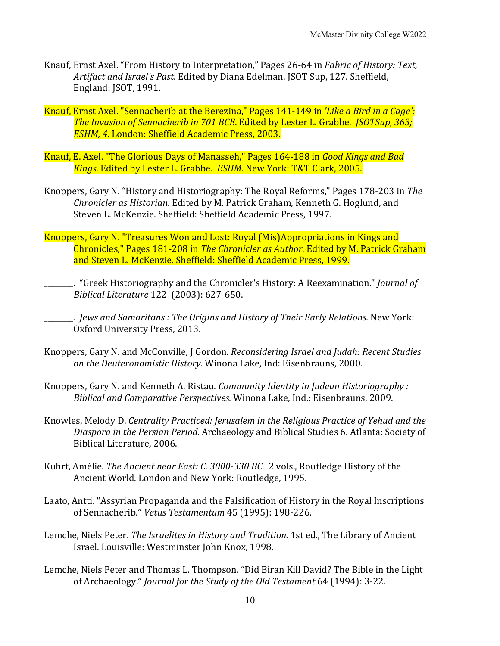- Knauf, Ernst Axel. "From History to Interpretation," Pages 26-64 in *Fabric of History: Text, Artifact and Israel's Past*. Edited by Diana Edelman. JSOT Sup, 127. Sheffield, England: JSOT, 1991.
- Knauf, Ernst Axel. "Sennacherib at the Berezina," Pages 141-149 in *'Like a Bird in a Cage':* **The Invasion of Sennacherib in 701 BCE. Edited by Lester L. Grabbe.** *JSOTSup, 363;* **ESHM, 4. London: Sheffield Academic Press, 2003.**
- Knauf, E. Axel. "The Glorious Days of Manasseh," Pages 164-188 in *Good Kings and Bad* Kings. Edited by Lester L. Grabbe. ESHM. New York: T&T Clark, 2005.
- Knoppers, Gary N. "History and Historiography: The Royal Reforms," Pages 178-203 in *The Chronicler as Historian*. Edited by M. Patrick Graham, Kenneth G. Hoglund, and Steven L. McKenzie. Sheffield: Sheffield Academic Press, 1997.
- Knoppers, Gary N. "Treasures Won and Lost: Royal (Mis)Appropriations in Kings and Chronicles," Pages 181-208 in *The Chronicler as Author*. Edited by M. Patrick Graham and Steven L. McKenzie. Sheffield: Sheffield Academic Press, 1999.
	- . "Greek Historiography and the Chronicler's History: A Reexamination." *Journal of Biblical Literature* 122 (2003): 627-650.
	- **\_\_\_\_\_\_**. *Jews and Samaritans : The Origins and History of Their Early Relations.* New York: Oxford University Press, 2013.
- Knoppers, Gary N. and McConville, J Gordon. *Reconsidering Israel and Judah: Recent Studies on the Deuteronomistic History.* Winona Lake, Ind: Eisenbrauns, 2000.
- Knoppers, Gary N. and Kenneth A. Ristau. *Community Identity in Judean Historiography*: *Biblical and Comparative Perspectives.* Winona Lake, Ind.: Eisenbrauns, 2009.
- Knowles, Melody D. *Centrality Practiced: Jerusalem in the Religious Practice of Yehud and the* Diaspora in the Persian Period. Archaeology and Biblical Studies 6. Atlanta: Society of Biblical Literature, 2006.
- Kuhrt, Amélie. *The Ancient near East: C. 3000-330 BC.* 2 vols., Routledge History of the Ancient World. London and New York: Routledge, 1995.
- Laato, Antti. "Assyrian Propaganda and the Falsification of History in the Royal Inscriptions of Sennacherib." *Vetus Testamentum* 45 (1995): 198-226.
- Lemche, Niels Peter. *The Israelites in History and Tradition*. 1st ed., The Library of Ancient Israel. Louisville: Westminster John Knox, 1998.
- Lemche, Niels Peter and Thomas L. Thompson. "Did Biran Kill David? The Bible in the Light of Archaeology." *Journal for the Study of the Old Testament* 64 (1994): 3-22.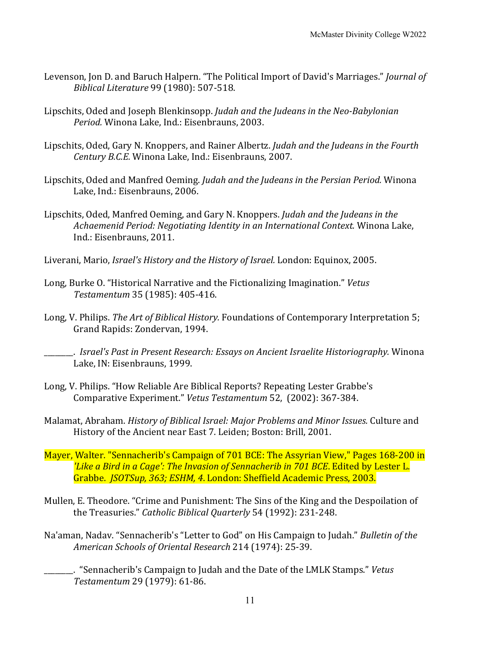- Levenson, Jon D. and Baruch Halpern. "The Political Import of David's Marriages." *Journal of Biblical Literature* 99 (1980): 507-518.
- Lipschits, Oded and Joseph Blenkinsopp. *Judah and the Judeans in the Neo-Babylonian* Period. Winona Lake, Ind.: Eisenbrauns, 2003.
- Lipschits, Oded, Gary N. Knoppers, and Rainer Albertz. *Judah and the Judeans in the Fourth Century B.C.E.* Winona Lake, Ind.: Eisenbrauns, 2007.
- Lipschits, Oded and Manfred Oeming. *Judah and the Judeans in the Persian Period.* Winona Lake, Ind.: Eisenbrauns, 2006.
- Lipschits, Oded, Manfred Oeming, and Gary N. Knoppers. *Judah and the Judeans in the Achaemenid Period: Negotiating Identity in an International Context.* Winona Lake, Ind.: Eisenbrauns, 2011.
- Liverani, Mario, *Israel's History and the History of Israel*. London: Equinox, 2005.
- Long, Burke O. "Historical Narrative and the Fictionalizing Imagination." *Vetus Testamentum* 35 (1985): 405-416.
- Long, V. Philips. *The Art of Biblical History.* Foundations of Contemporary Interpretation 5; Grand Rapids: Zondervan, 1994.

**\_\_\_\_\_\_.** *Israel's Past in Present Research: Essays on Ancient Israelite Historiography.* Winona Lake, IN: Eisenbrauns, 1999.

- Long, V. Philips. "How Reliable Are Biblical Reports? Repeating Lester Grabbe's Comparative Experiment." *Vetus Testamentum* 52, (2002): 367-384.
- Malamat, Abraham. *History of Biblical Israel: Major Problems and Minor Issues.* Culture and History of the Ancient near East 7. Leiden; Boston: Brill, 2001.
- Mayer, Walter. "Sennacherib's Campaign of 701 BCE: The Assyrian View," Pages 168-200 in *'Like a Bird in a Cage': The Invasion of Sennacherib in 701 BCE*. Edited by Lester L. Grabbe. *JSOTSup, 363; ESHM, 4*. London: Sheffield Academic Press, 2003.
- Mullen, E. Theodore. "Crime and Punishment: The Sins of the King and the Despoilation of the Treasuries." *Catholic Biblical Quarterly* 54 (1992): 231-248.
- Na'aman, Nadav. "Sennacherib's "Letter to God" on His Campaign to Judah." *Bulletin of the American Schools of Oriental Research* 214 (1974): 25-39.
	- \_\_\_\_\_\_\_\_. "Sennacherib's Campaign to Judah and the Date of the LMLK Stamps." *Vetus Testamentum* 29 (1979): 61-86.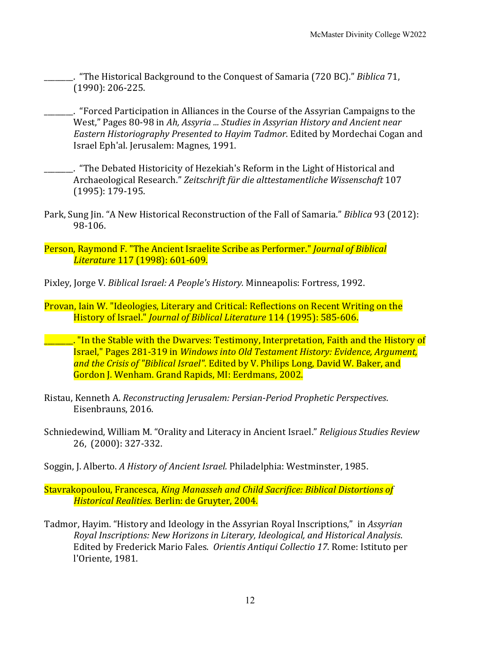- **\_\_\_\_\_.** "The Historical Background to the Conquest of Samaria (720 BC)." *Biblica* 71,  $(1990): 206-225.$
- <u>\_\_\_\_</u>. "Forced Participation in Alliances in the Course of the Assyrian Campaigns to the West," Pages 80-98 in Ah, Assyria ... Studies in Assyrian History and Ancient near *Eastern Historiography Presented to Hayim Tadmor*. Edited by Mordechai Cogan and Israel Eph'al. Jerusalem: Magnes, 1991.
- \_\_\_\_\_\_\_\_. "The Debated Historicity of Hezekiah's Reform in the Light of Historical and Archaeological Research." *Zeitschrift für die alttestamentliche Wissenschaft* 107 (1995): 179-195.
- Park, Sung Jin. "A New Historical Reconstruction of the Fall of Samaria." *Biblica* 93 (2012): 98-106.
- Person, Raymond F. "The Ancient Israelite Scribe as Performer." *Journal of Biblical Literature* 117 (1998): 601-609.
- Pixley, Jorge V. *Biblical Israel: A People's History.* Minneapolis: Fortress, 1992.
- Provan, Iain W. "Ideologies, Literary and Critical: Reflections on Recent Writing on the History of Israel." *Journal of Biblical Literature* 114 (1995): 585-606.
- **\_\_\_\_\_\_**. "In the Stable with the Dwarves: Testimony, Interpretation, Faith and the History of **Israel," Pages 281-319 in** *Windows into Old Testament History: Evidence, Argument,* and the Crisis of "Biblical Israel". Edited by V. Philips Long, David W. Baker, and Gordon J. Wenham. Grand Rapids, MI: Eerdmans, 2002.
- Ristau, Kenneth A. *Reconstructing Jerusalem: Persian-Period Prophetic Perspectives.* Eisenbrauns, 2016.
- Schniedewind, William M. "Orality and Literacy in Ancient Israel." *Religious Studies Review* 26, (2000): 327-332.
- Soggin, J. Alberto. *A History of Ancient Israel*. Philadelphia: Westminster, 1985.
- Stavrakopoulou, Francesca, *King Manasseh and Child Sacrifice: Biblical Distortions of Historical Realities. Berlin: de Gruyter, 2004.*
- Tadmor, Hayim. "History and Ideology in the Assyrian Royal Inscriptions," in *Assyrian Royal Inscriptions: New Horizons in Literary, Ideological, and Historical Analysis.* Edited by Frederick Mario Fales. Orientis Antiqui Collectio 17. Rome: Istituto per l'Oriente, 1981.